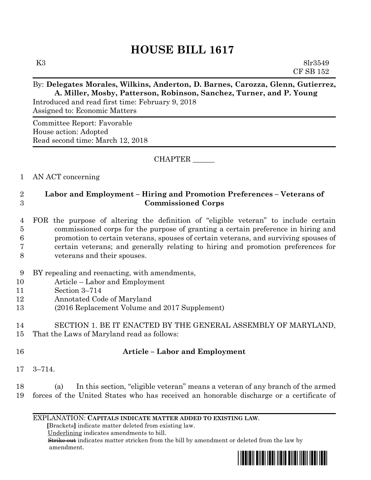# **HOUSE BILL 1617**

#### By: **Delegates Morales, Wilkins, Anderton, D. Barnes, Carozza, Glenn, Gutierrez, A. Miller, Mosby, Patterson, Robinson, Sanchez, Turner, and P. Young**

Introduced and read first time: February 9, 2018 Assigned to: Economic Matters

Committee Report: Favorable House action: Adopted Read second time: March 12, 2018

CHAPTER \_\_\_\_\_\_

### 1 AN ACT concerning

## 2 **Labor and Employment – Hiring and Promotion Preferences – Veterans of**  3 **Commissioned Corps**

- 4 FOR the purpose of altering the definition of "eligible veteran" to include certain 5 commissioned corps for the purpose of granting a certain preference in hiring and 6 promotion to certain veterans, spouses of certain veterans, and surviving spouses of 7 certain veterans; and generally relating to hiring and promotion preferences for 8 veterans and their spouses.
- 9 BY repealing and reenacting, with amendments,
- 10 Article Labor and Employment
- 11 Section 3–714
- 12 Annotated Code of Maryland
- 13 (2016 Replacement Volume and 2017 Supplement)

# 14 SECTION 1. BE IT ENACTED BY THE GENERAL ASSEMBLY OF MARYLAND,

15 That the Laws of Maryland read as follows:

### 16 **Article – Labor and Employment**

17 3–714.

18 (a) In this section, "eligible veteran" means a veteran of any branch of the armed 19 forces of the United States who has received an honorable discharge or a certificate of

#### EXPLANATION: **CAPITALS INDICATE MATTER ADDED TO EXISTING LAW**.

 **[**Brackets**]** indicate matter deleted from existing law.

Underlining indicates amendments to bill.

 Strike out indicates matter stricken from the bill by amendment or deleted from the law by amendment.